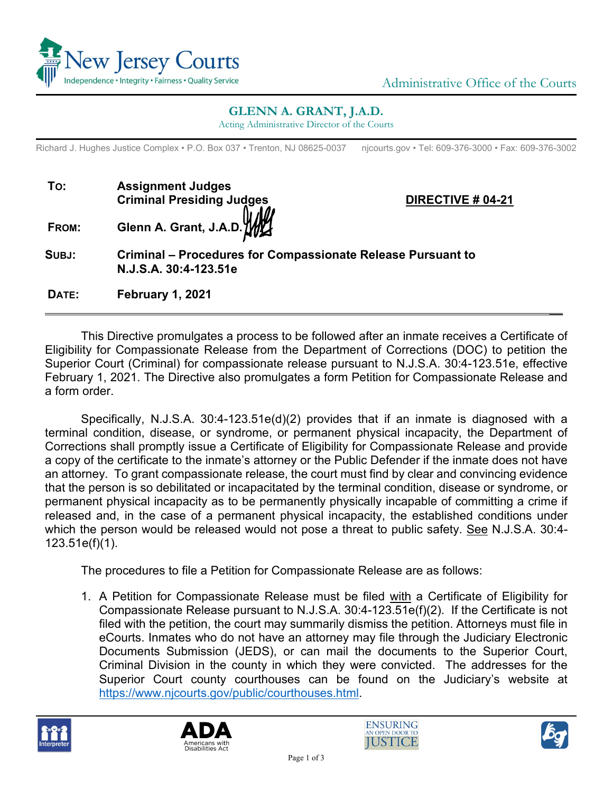

## **GLENN A. GRANT, J.A.D.**

Acting Administrative Director of the Courts

Richard J. Hughes Justice Complex • P.O. Box 037 • Trenton, NJ 08625-0037 njcourts.gov • Tel: 609-376-3000 • Fax: 609-376-3002

| To:   | <b>Assignment Judges</b>                            |  |  |
|-------|-----------------------------------------------------|--|--|
|       | Criminal Presiding Judges<br>Glenn A. Grant, J.A.D. |  |  |
|       |                                                     |  |  |
| FROM: |                                                     |  |  |

**DIRECTIVE # 04-21** 

**SUBJ: Criminal – Procedures for Compassionate Release Pursuant to N.J.S.A. 30:4-123.51e**

**DATE: February 1, 2021**

This Directive promulgates a process to be followed after an inmate receives a Certificate of Eligibility for Compassionate Release from the Department of Corrections (DOC) to petition the Superior Court (Criminal) for compassionate release pursuant to N.J.S.A. 30:4-123.51e, effective February 1, 2021. The Directive also promulgates a form Petition for Compassionate Release and a form order.

\_\_

Specifically, N.J.S.A. 30:4-123.51e(d)(2) provides that if an inmate is diagnosed with a terminal condition, disease, or syndrome, or permanent physical incapacity, the Department of Corrections shall promptly issue a Certificate of Eligibility for Compassionate Release and provide a copy of the certificate to the inmate's attorney or the Public Defender if the inmate does not have an attorney. To grant compassionate release, the court must find by clear and convincing evidence that the person is so debilitated or incapacitated by the terminal condition, disease or syndrome, or permanent physical incapacity as to be permanently physically incapable of committing a crime if released and, in the case of a permanent physical incapacity, the established conditions under which the person would be released would not pose a threat to public safety. See N.J.S.A. 30:4- 123.51e(f)(1).

The procedures to file a Petition for Compassionate Release are as follows:

1. A Petition for Compassionate Release must be filed with a Certificate of Eligibility for Compassionate Release pursuant to N.J.S.A. 30:4-123.51e(f)(2). If the Certificate is not filed with the petition, the court may summarily dismiss the petition. Attorneys must file in eCourts. Inmates who do not have an attorney may file through the Judiciary Electronic Documents Submission (JEDS), or can mail the documents to the Superior Court, Criminal Division in the county in which they were convicted. The addresses for the Superior Court county courthouses can be found on the Judiciary's website at [https://www.njcourts.gov/public/courthouses.html.](https://www.njcourts.gov/public/courthouses.html)







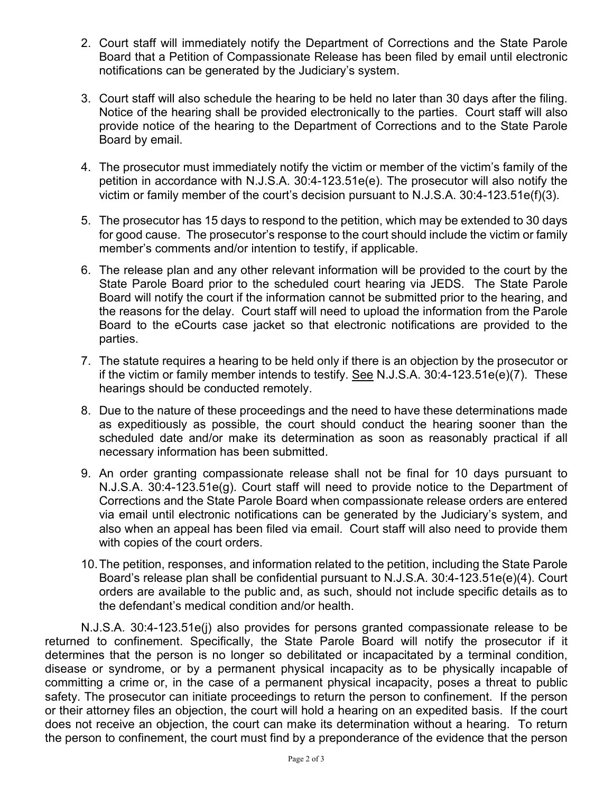- 2. Court staff will immediately notify the Department of Corrections and the State Parole Board that a Petition of Compassionate Release has been filed by email until electronic notifications can be generated by the Judiciary's system.
- 3. Court staff will also schedule the hearing to be held no later than 30 days after the filing. Notice of the hearing shall be provided electronically to the parties. Court staff will also provide notice of the hearing to the Department of Corrections and to the State Parole Board by email.
- 4. The prosecutor must immediately notify the victim or member of the victim's family of the petition in accordance with N.J.S.A. 30:4-123.51e(e). The prosecutor will also notify the victim or family member of the court's decision pursuant to N.J.S.A. 30:4-123.51e(f)(3).
- 5. The prosecutor has 15 days to respond to the petition, which may be extended to 30 days for good cause. The prosecutor's response to the court should include the victim or family member's comments and/or intention to testify, if applicable.
- 6. The release plan and any other relevant information will be provided to the court by the State Parole Board prior to the scheduled court hearing via JEDS. The State Parole Board will notify the court if the information cannot be submitted prior to the hearing, and the reasons for the delay. Court staff will need to upload the information from the Parole Board to the eCourts case jacket so that electronic notifications are provided to the parties.
- 7. The statute requires a hearing to be held only if there is an objection by the prosecutor or if the victim or family member intends to testify. <u>See</u> N.J.S.A. 30:4-123.51e(e)(7). These<br>bestings should be conducted remotely. hearings should be conducted remotely.
- 8. Due to the nature of these proceedings and the need to have these determinations made as expeditiously as possible, the court should conduct the hearing sooner than the scheduled date and/or make its determination as soon as reasonably practical if all necessary information has been submitted.
- 9. An order granting compassionate release shall not be final for 10 days pursuant to N.J.S.A. 30:4-123.51e(g). Court staff will need to provide notice to the Department of Corrections and the State Parole Board when compassionate release orders are entered via email until electronic notifications can be generated by the Judiciary's system, and also when an appeal has been filed via email. Court staff will also need to provide them with copies of the court orders.
- 10.The petition, responses, and information related to the petition, including the State Parole Board's release plan shall be confidential pursuant to N.J.S.A. 30:4-123.51e(e)(4). Court orders are available to the public and, as such, should not include specific details as to the defendant's medical condition and/or health.

N.J.S.A. 30:4-123.51e(j) also provides for persons granted compassionate release to be returned to confinement. Specifically, the State Parole Board will notify the prosecutor if it determines that the person is no longer so debilitated or incapacitated by a terminal condition, disease or syndrome, or by a permanent physical incapacity as to be physically incapable of committing a crime or, in the case of a permanent physical incapacity, poses a threat to public safety. The prosecutor can initiate proceedings to return the person to confinement. If the person or their attorney files an objection, the court will hold a hearing on an expedited basis. If the court does not receive an objection, the court can make its determination without a hearing. To return the person to confinement, the court must find by a preponderance of the evidence that the person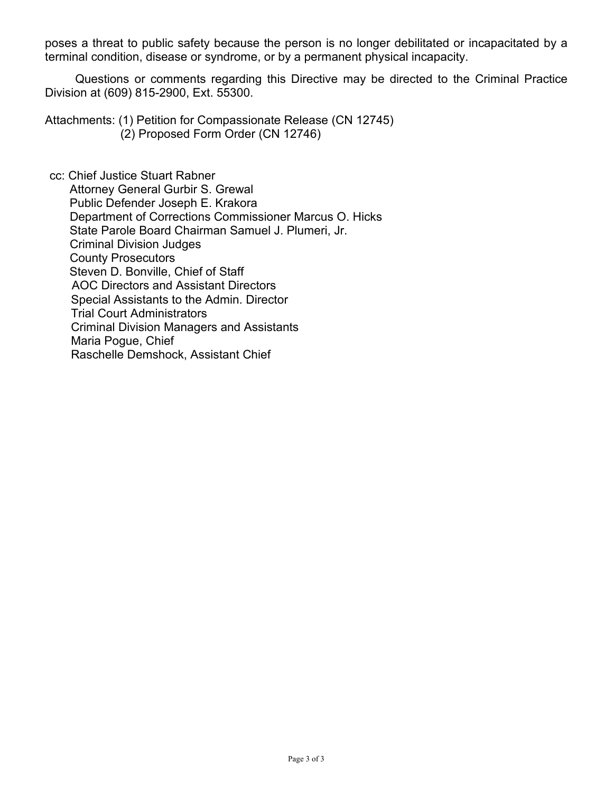poses a threat to public safety because the person is no longer debilitated or incapacitated by a terminal condition, disease or syndrome, or by a permanent physical incapacity.

 Questions or comments regarding this Directive may be directed to the Criminal Practice Division at (609) 815-2900, Ext. 55300.

Attachments: (1) Petition for Compassionate Release (CN 12745) (2) Proposed Form Order (CN 12746)

cc: Chief Justice Stuart Rabner Attorney General Gurbir S. Grewal Public Defender Joseph E. Krakora Department of Corrections Commissioner Marcus O. Hicks State Parole Board Chairman Samuel J. Plumeri, Jr. Criminal Division Judges County Prosecutors Steven D. Bonville, Chief of Staff AOC Directors and Assistant Directors Special Assistants to the Admin. Director Trial Court Administrators Criminal Division Managers and Assistants Maria Pogue, Chief Raschelle Demshock, Assistant Chief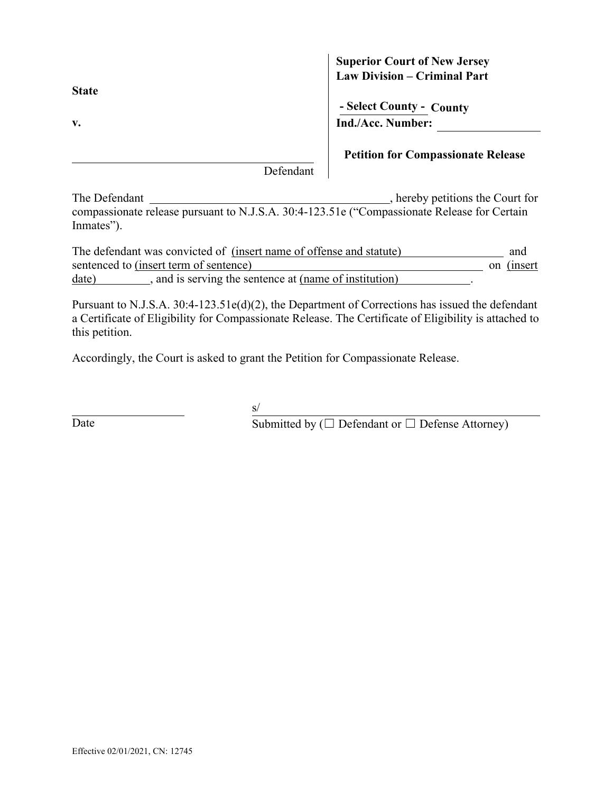**State**

## **Superior Court of New Jersey Law Division – Criminal Part**

**- Select County - County v. Ind./Acc. Number:**

**Petition for Compassionate Release**

Defendant

The Defendant , hereby petitions the Court for compassionate release pursuant to N.J.S.A. 30:4-123.51e ("Compassionate Release for Certain Inmates").

| The defendant was convicted of (insert name of offense and statute) |  |                                                      |  |             |
|---------------------------------------------------------------------|--|------------------------------------------------------|--|-------------|
| sentenced to (insert term of sentence)                              |  |                                                      |  | on (insert) |
| date)                                                               |  | and is serving the sentence at (name of institution) |  |             |

Pursuant to N.J.S.A. 30:4-123.51e(d)(2), the Department of Corrections has issued the defendant a Certificate of Eligibility for Compassionate Release. The Certificate of Eligibility is attached to this petition.

Accordingly, the Court is asked to grant the Petition for Compassionate Release.

 $s/$ 

Date Submitted by ( $\Box$  Defendant or  $\Box$  Defense Attorney)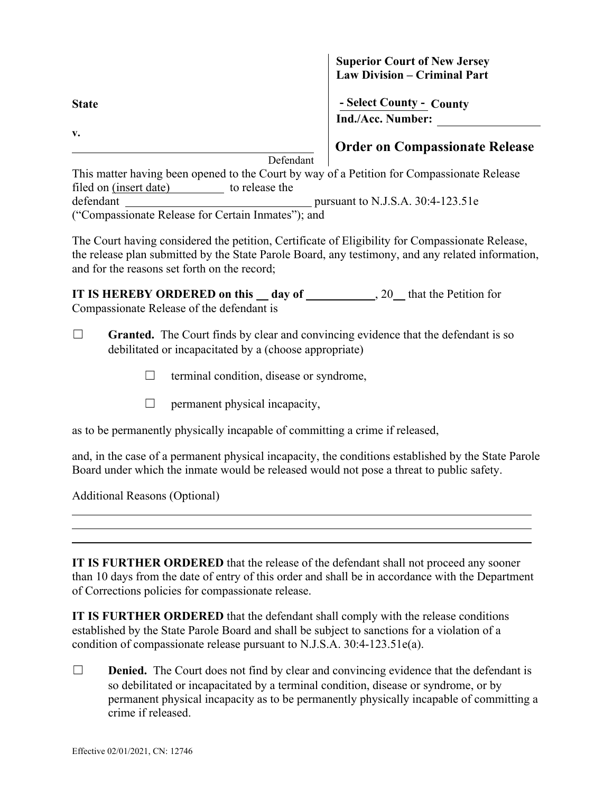**State - Select County - County v.** 

**Superior Court of New Jersey Law Division – Criminal Part**

**Ind./Acc. Number:**

**Order on Compassionate Release**

Defendant

This matter having been opened to the Court by way of a Petition for Compassionate Release filed on (insert date) to release the defendant **pursuant to N.J.S.A. 30:4-123.51e** ("Compassionate Release for Certain Inmates"); and

The Court having considered the petition, Certificate of Eligibility for Compassionate Release, the release plan submitted by the State Parole Board, any testimony, and any related information, and for the reasons set forth on the record;

**IT IS HEREBY ORDERED on this \_\_ day of \_\_\_\_\_\_\_\_\_\_\_\_\_\_\_\_\_\_**, 20 that the Petition for Compassionate Release of the defendant is

- □ **Granted.** The Court finds by clear and convincing evidence that the defendant is so debilitated or incapacitated by a (choose appropriate)
	- $\Box$  terminal condition, disease or syndrome,
	- $\Box$  permanent physical incapacity,

as to be permanently physically incapable of committing a crime if released,

and, in the case of a permanent physical incapacity, the conditions established by the State Parole Board under which the inmate would be released would not pose a threat to public safety.

Additional Reasons (Optional)

 $\overline{a}$  $\overline{a}$  $\overline{a}$ 

**IT IS FURTHER ORDERED** that the release of the defendant shall not proceed any sooner than 10 days from the date of entry of this order and shall be in accordance with the Department of Corrections policies for compassionate release.

**IT IS FURTHER ORDERED** that the defendant shall comply with the release conditions established by the State Parole Board and shall be subject to sanctions for a violation of a condition of compassionate release pursuant to N.J.S.A. 30:4-123.51e(a).

□ **Denied.** The Court does not find by clear and convincing evidence that the defendant is so debilitated or incapacitated by a terminal condition, disease or syndrome, or by permanent physical incapacity as to be permanently physically incapable of committing a crime if released.